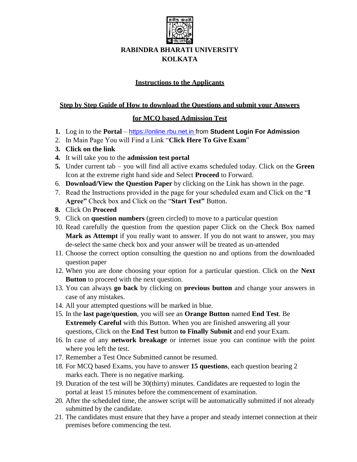

## **RABINDRA BHARATI UNIVERSITY KOLKATA**

## **Instructions to the Applicants**

### **Step by Step Guide of How to download the Questions and submit your Answers**

## **for MCQ based Admission Test**

- **1.** Log in to the **Portal**  [https://online.rbu.net.in](https://online.rbu.net.in/) from **Student Login For Admission**
- 2. In Main Page You will Find a Link "**Click Here To Give Exam**"
- **3. Click on the link**
- **4.** It will take you to the **admission test portal**
- **5.** Under current tab you will find all active exams scheduled today. Click on the **Green** Icon at the extreme right hand side and Select **Proceed** to Forward.
- 6. **Download/View the Question Paper** by clicking on the Link has shown in the page.
- 7. Read the Instructions provided in the page for your scheduled exam and Click on the "**I Agree"** Check box and Click on the "**Start Test"** Button.
- **8.** Click On **Proceed**
- 9. Click on **question numbers** (green circled) to move to a particular question
- 10. Read carefully the question from the question paper Click on the Check Box named **Mark as Attempt** if you really want to answer. If you do not want to answer, you may de-select the same check box and your answer will be treated as un-attended
- 11. Choose the correct option consulting the question no and options from the downloaded question paper
- 12. When you are done choosing your option for a particular question. Click on the **Next Button** to proceed with the next question.
- 13. You can always **go back** by clicking on **previous button** and change your answers in case of any mistakes.
- 14. All your attempted questions will be marked in blue.
- 15. In the **last page/question**, you will see an **Orange Button** named **End Test**. Be **Extremely Careful** with this Button. When you are finished answering all your questions, Click on the **End Test** button **to Finally Submit** and end your Exam.
- 16. In case of any **network breakage** or internet issue you can continue with the point where you left the test.
- 17. Remember a Test Once Submitted cannot be resumed.
- 18. For MCQ based Exams, you have to answer **15 questions**, each question bearing 2 marks each. There is no negative marking.
- 19. Duration of the test will be 30(thirty) minutes. Candidates are requested to login the portal at least 15 minutes before the commencement of examination.
- 20. After the scheduled time, the answer script will be automatically submitted if not already submitted by the candidate.
- 21. The candidates must ensure that they have a proper and steady internet connection at their premises before commencing the test.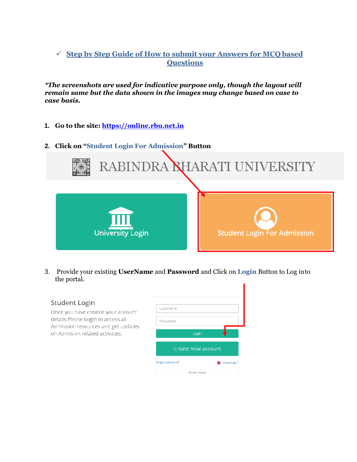# **Step by Step Guide of How to submit your Answers for MCQ based Questions**

*\*The screenshots are used for indicative purpose only, though the layout will remain same but the data shown in the images may change based on case to case basis.*

- **1. Go to the site: [https://online.rbu.net.in](https://online.rbu.net.in/)**
- **2. Click on "Student Login For Admission" Button**



3. Provide your existing **UserName** and **Password** and Click on **Login** Button to Log into the portal.

#### **Student Login**

Once you have created your account details Please Login to access all Admission resources and get updates on Admision-related activates.

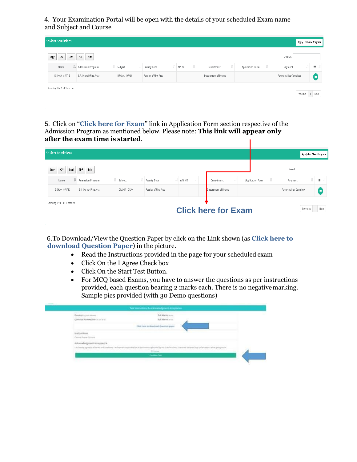4. Your Examination Portal will be open with the details of your scheduled Exam name and Subject and Course

| <b>Student Admissions</b>   |                         |              |                      |        |                     |                  |                      |          | Apply For New Program |
|-----------------------------|-------------------------|--------------|----------------------|--------|---------------------|------------------|----------------------|----------|-----------------------|
| Copy<br>CSV<br>Excel        | PDF<br>Print            |              |                      |        |                     |                  | Search:              |          |                       |
| Įì.<br>Name                 | Admission Program       | Subject      | <b>Faculty Date</b>  | AIN NO | Department          | Application Form | Payment              | lî I     | ш                     |
| BIDHAN MAITI S              | B.A. (Hons) (Fine Arts) | DRAMA - DRAH | Faculty of Fine Arts |        | Department of Drama | ×.               | Payment Not Complete |          | E                     |
| Showing 1 to 1 of 1 entries |                         |              |                      |        |                     |                  |                      | Previous | 1 Next                |

5. Click on "**Click here for Exam**" link in Application Form section respective of the Admission Program as mentioned below. Please note: **This link will appear only after the exam time is started**. Т

|                               |                     |        |                                                | Apply For New Program |
|-------------------------------|---------------------|--------|------------------------------------------------|-----------------------|
|                               |                     |        | Search:                                        |                       |
| AIN NO<br><b>Faculty Date</b> | Department          |        | Payment                                        | ш                     |
| Faculty of Fine Arts          | Department of Drama | $\sim$ | Payment Not Complete                           | E                     |
|                               |                     |        | Previous                                       | 1 Next                |
|                               |                     |        | Application Form<br><b>Click here for Exam</b> |                       |

6.To Download/View the Question Paper by click on the Link shown (as **Click here to download Question Paper**) in the picture.

- Read the Instructions provided in the page for your scheduled exam
- Click On the I Agree Check box
- Click On the Start Test Button.
- For MCQ based Exams, you have to answer the questions as per instructions provided, each question bearing 2 marks each. There is no negativemarking. Sample pics provided (with 30 Demo questions)

| Buratoni: Groot interest                                 | Full Market more                      |  |
|----------------------------------------------------------|---------------------------------------|--|
| Gordian Artwenkler at a r and                            | Full Market as to                     |  |
|                                                          | Clus here to deserteed Question paper |  |
| matrusxiama                                              |                                       |  |
| Okinna Howel Statests                                    |                                       |  |
| Acknowledgment Acceptance                                |                                       |  |
| Litchmore agree to all recreated conducts (and remaining |                                       |  |
|                                                          | <b>ILL</b> Aghest                     |  |